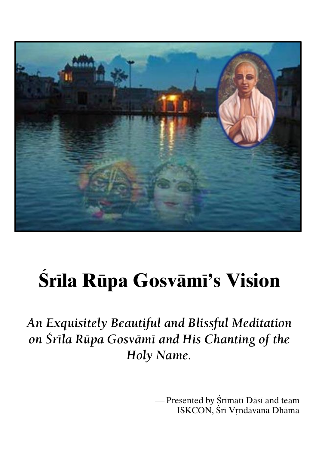

# **Çréla Rüpa Gosvämé's Vision**

*An Exquisitely Beautiful and Blissful Meditation on Çréla Rüpa Gosvämé and His Chanting of the Holy Name.*

> - Presented by Śrīmatī Dāsī and team ISKCON, Śrī Vrndāvana Dhāma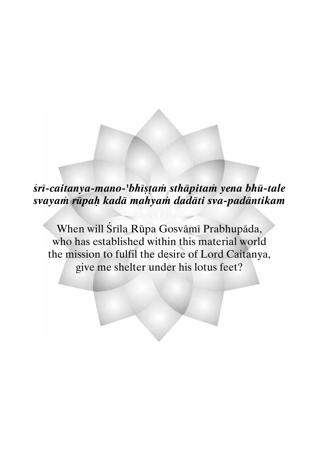## *çré-caitanya-mano-'bhéñöaà sthäpitaà yena bhü-tale svayaà rüpaù kadä mahyaà dadäti sva-padäntikam*

When will Śrīla Rūpa Gosvāmī Prabhupāda, who has established within this material world the mission to fulfil the desire of Lord Caitanya, give me shelter under his lotus feet?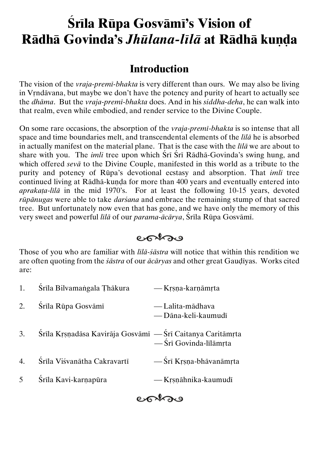# **Śrila Rūpa Gosvāmī's Vision of Rädhä Govinda's Jhūlana-līlā at Rādhā kuņda**

#### **Introduction**

The vision of the *vraja-premé-bhakta* is very different than ours. We may also be living in Vrndävana, but maybe we don't have the potency and purity of heart to actually see the *dhäma*. But the *vraja-premé-bhakta* does. And in his *siddha-deha*, he can walk into that realm, even while embodied, and render service to the Divine Couple.

On some rare occasions, the absorption of the *vraja-premé-bhakta* is so intense that all space and time boundaries melt, and transcendental elements of the *lélä* he is absorbed in actually manifest on the material plane. That is the case with the *lila* we are about to share with you. The *imli* tree upon which Sri Sri Radha-Govinda's swing hung, and which offered *sevä* to the Divine Couple, manifested in this world as a tribute to the purity and potency of Rüpa's devotional ecstasy and absorption. That *imli* tree continued living at Rādhā-kuṇḍa for more than 400 years and eventually entered into *aprakata-lila* in the mid 1970's. For at least the following 10-15 years, devoted *rüpänugas* were able to take *darçana* and embrace the remaining stump of that sacred tree. But unfortunately now even that has gone, and we have only the memory of this very sweet and powerful *lila* of our *parama-ācārya*, Śrīla Rūpa Gosvāmī.

eokas

Those of you who are familiar with *lilā-śāstra* will notice that within this rendition we are often quoting from the *sāstra* of our *ācāryas* and other great Gaudīyas. Works cited are:

| 1.               | Śrīla Bilvamangala Thākura                                 | — Krsņa-karņāmrta                       |
|------------------|------------------------------------------------------------|-----------------------------------------|
| 2.               | Śrīla Rūpa Gosvāmī                                         | — Lalita-mādhava<br>— Dāna-keli-kaumudī |
| 3.               | Śrīla Krsņadāsa Kavirāja Gosvāmī — Śrī Caitanya Caritāmŗta | - Śrī Govinda-līlāmrta                  |
| $\overline{4}$ . | Śrīla Viśvanātha Cakravartī                                | — Śrī Krsna-bhāvanāmrta                 |
| $\mathfrak{S}$   | Śrīla Kavi-karnapūra                                       | — Krsnāhnika-kaumudī                    |

cohou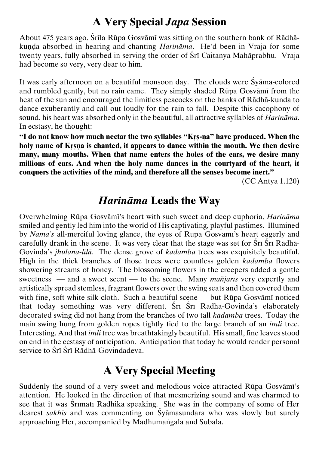## **A Very Special** *Japa* **Session**

About 475 years ago, Srila Rūpa Gosvāmī was sitting on the southern bank of Rādhākunda absorbed in hearing and chanting *Harināma*. He'd been in Vraja for some twenty years, fully absorbed in serving the order of Śrī Caitanya Mahāprabhu. Vraja had become so very, very dear to him.

It was early afternoon on a beautiful monsoon day. The clouds were Syama-colored and rumbled gently, but no rain came. They simply shaded Rüpa Gosvämé from the heat of the sun and encouraged the limitless peacocks on the banks of Rädhä-kunda to dance exuberantly and call out loudly for the rain to fall. Despite this cacophony of sound, his heart was absorbed only in the beautiful, all attractive syllables of *Harinäma*. In ecstasy, he thought:

"I do not know how much nectar the two syllables "Krs-na" have produced. When the holy name of Krsna is chanted, it appears to dance within the mouth. We then desire **many, many mouths. When that name enters the holes of the ears, we desire many millions of ears. And when the holy name dances in the courtyard of the heart, it conquers the activities of the mind, and therefore all the senses become inert."**

(CC Antya 1.120)

#### *Harinäma* **Leads the Way**

Overwhelming Rüpa Gosvämé's heart with such sweet and deep euphoria, *Harinäma* smiled and gently led him into the world of His captivating, playful pastimes. Illumined by *Näma's* all-merciful loving glance, the eyes of Rüpa Gosvämé's heart eagerly and carefully drank in the scene. It was very clear that the stage was set for  $\overline{\text{Sri}} \ \overline{\text{Sri}} \ \text{Rādhā-}$ Govinda's *jhulana*-*lélä*. The dense grove of *kadamba* trees was exquisitely beautiful. High in the thick branches of those trees were countless golden *kadamba* flowers showering streams of honey. The blossoming flowers in the creepers added a gentle sweetness — and a sweet scent — to the scene. Many *mantaris* very expertly and artistically spread stemless, fragrant flowers over the swing seats and then covered them with fine, soft white silk cloth. Such a beautiful scene — but Rūpa Gosvāmī noticed that today something was very different. Sri Sri Rādhā-Govinda's elaborately decorated swing did not hang from the branches of two tall *kadamba* trees. Today the main swing hung from golden ropes tightly tied to the large branch of an *imli* tree. Interesting. And that *imli* tree was breathtakingly beautiful. His small, fine leaves stood on end in the ecstasy of anticipation. Anticipation that today he would render personal service to Śrī Śrī Rādhā-Govindadeva.

#### **A Very Special Meeting**

Suddenly the sound of a very sweet and melodious voice attracted Rūpa Gosvāmī's attention. He looked in the direction of that mesmerizing sound and was charmed to see that it was Śrīmatī Rādhikā speaking. She was in the company of some of Her dearest *sakhés* and was commenting on Çyämasundara who was slowly but surely approaching Her, accompanied by Madhumangala and Subala.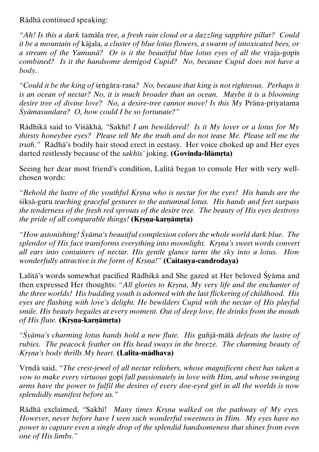Rädhä continued speaking:

*"Ah! Is this a dark* tamäla *tree, a fresh rain cloud or a dazzling sapphire pillar? Could it be a mountain of* käjala*, a cluster of blue lotus flowers, a swarm of intoxicated bees, or a stream of the Yamuna? Or is it the beautiful blue lotus eves of all the vraja-gopjs combined? Is it the handsome demigod Cupid? No, because Cupid does not have a body.*

*"Could it be the king of srigara-rasa? No, because that king is not righteous. Perhaps it is an ocean of nectar? No, it is much broader than an ocean. Maybe it is a blooming desire tree of divine love? No, a desire-tree cannot move! Is this My Prāna-priyatama Çyämasundara? O, how could I be so fortunate?"*

Rädhikä said to Viçäkhä*, "*Sakhé! *I am bewildered! Is it My lover or a lotus for My thirsty honeybee eyes? Please tell Me the truth and do not tease Me. Please tell me the truth."* Rädhä's bodily hair stood erect in ecstasy. Her voice choked up and Her eyes darted restlessly because of the *sakhis*<sup>*'*</sup> joking. **(Govinda-lilāmrta)** 

Seeing her dear most friend's condition, Lalitä began to console Her with very wellchosen words:

*"Behold the lustre of the youthful Krsna who is nectar for the eyes! His hands are the* siksā-guru *teaching graceful gestures to the autumnal lotus. His hands and feet surpass the tenderness of the fresh red sprouts of the desire tree. The beauty of His eyes destroys the pride of all comparable things!* (**Krsna-karnāmrta**)

*"How astonishing! Çyäma's beautiful complexion colors the whole world dark blue. The splendor of His face transforms everything into moonlight. Krsna's sweet words convert all ears into containers of nectar. His gentle glance turns the sky into a lotus. How wonderfully attractive is the form of Krsna!*" (Caitanya-candrodaya)

Lalitä's words somewhat pacified Rädhikä and She gazed at Her beloved Çyäma and then expressed Her thoughts: "All glories to *Krsna*, My very life and the enchanter of *the three worlds! His budding youth is adorned with the last flickering of childhood. His eyes are flashing with love's delight. He bewilders Cupid with the nectar of His playful smile. His beauty beguiles at every moment. Out of deep love, He drinks from the mouth of His flute.* **(Krsna-karnāmrta)** 

*"Çyäma's charming lotus hands hold a new flute. His* guïjä-mälä *defeats the lustre of rubies. The peacock feather on His head sways in the breeze. The charming beauty of Kåñëa's body thrills My heart.* **(Lalita-mädhava)**

Vrndā said, "The crest-jewel of all nectar relishers, whose magnificent chest has taken a *vow to make every virtuous gopi fall passionately in love with Him, and whose swinging arms have the power to fulfil the desires of every doe-eyed girl in all the worlds is now splendidly manifest before us."*

Rādhā exclaimed, "Sakhī! Many times Krsna walked on the pathway of My eyes. *However, never before have I seen such wonderful sweetness in Him. My eyes have no power to capture even a single drop of the splendid handsomeness that shines from even one of His limbs."*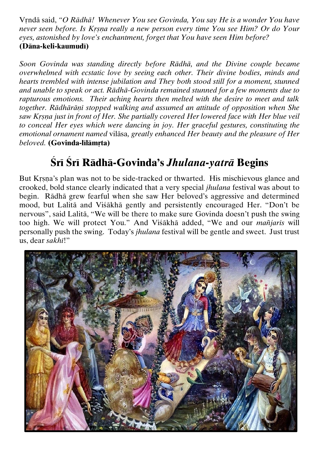Våndä said, *"O Rädhä! Whenever You see Govinda, You say He is a wonder You have*  never seen before. Is Krsna really a new person every time You see Him? Or do Your *eyes, astonished by love's enchantment, forget that You have seen Him before?* **(Däna-keli-kaumudé)**

*Soon Govinda was standing directly before Rädhä, and the Divine couple became overwhelmed with ecstatic love by seeing each other. Their divine bodies, minds and hearts trembled with intense jubilation and They both stood still for a moment, stunned and unable to speak or act. Rädhä-Govinda remained stunned for a few moments due to rapturous emotions. Their aching hearts then melted with the desire to meet and talk together. Rādhārānī stopped walking and assumed an attitude of opposition when She saw Krsna just in front of Her. She partially covered Her lowered face with Her blue veil to conceal Her eyes which were dancing in joy. Her graceful gestures, constituting the emotional ornament named* viläsa*, greatly enhanced Her beauty and the pleasure of Her beloved.* (Govinda-līlāmrta)

# $\overline{\text{Sri}}$  *Sri Rādhā-Govinda's Jhulana-yatrā Begins*

But Krsna's plan was not to be side-tracked or thwarted. His mischievous glance and crooked, bold stance clearly indicated that a very special *jhulana* festival was about to begin. Rädhä grew fearful when she saw Her beloved's aggressive and determined mood, but Lalitä and Viçäkhä gently and persistently encouraged Her. "Don't be nervous", said Lalitä, "We will be there to make sure Govinda doesn't push the swing too high. We will protect You." And Visakha added, "We and our *mañjaris* will personally push the swing. Today's *jhulana* festival will be gentle and sweet. Just trust us, dear *sakhé*!"

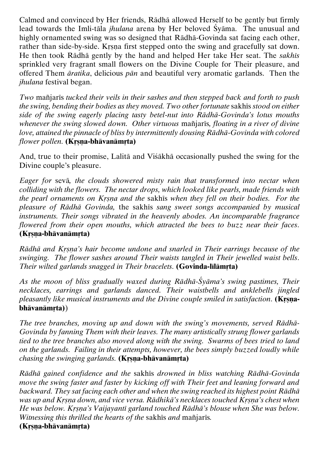Calmed and convinced by Her friends, Rädhä allowed Herself to be gently but firmly lead towards the Imli-tāla *jhulana* arena by Her beloved Syāma. The unusual and highly ornamented swing was so designed that Rädhä-Govinda sat facing each other, rather than side-by-side. Krsna first stepped onto the swing and gracefully sat down. He then took Rädhä gently by the hand and helped Her take Her seat. The *sakhés* sprinkled very fragrant small flowers on the Divine Couple for Their pleasure, and offered Them *äratika*, delicious *pän* and beautiful very aromatic garlands. Then the *jhulana* festival began.

*Two* mañjaris *tucked their veils in their sashes and then stepped back and forth to push the swing, bending their bodies as they moved. Two other fortunate sakher stood on either side of the swing eagerly placing tasty betel-nut into Rädhä-Govinda's lotus mouths whenever the swing slowed down. Other virtuous mantiaris, floating in a river of divine love, attained the pinnacle of bliss by intermittently dousing Rädhä-Govinda with colored flower pollen.* **(Krsna-bhävanämrta)** 

And, true to their promise, Lalitä and Viçäkhä occasionally pushed the swing for the Divine couple's pleasure.

*Eager for* sevä*, the clouds showered misty rain that transformed into nectar when colliding with the flowers. The nectar drops, which looked like pearls, made friends with the pearl ornaments on Krsna and the sakhis when they fell on their bodies. For the pleasure of Rädhä Govinda,* the sakhés *sang sweet songs accompanied by musical instruments. Their songs vibrated in the heavenly abodes. An incomparable fragrance flowered from their open mouths, which attracted the bees to buzz near their faces.* **(Kåñëa-bhävanämåta)**

*Rādhā and Krsna's hair become undone and snarled in Their earrings because of the swinging. The flower sashes around Their waists tangled in Their jewelled waist bells. Their wilted garlands snagged in Their bracelets.* (Govinda-lilamrta)

*As the moon of bliss gradually waxed during Rädhä-Çyäma's swing pastimes, Their necklaces, earrings and garlands danced. Their waistbells and anklebells jingled pleasantly like musical instruments and the Divine couple smiled in satisfaction.* (Krsna**bhāvanāmrta**))

*The tree branches, moving up and down with the swing's movements, served Rädhä-Govinda by fanning Them with their leaves. The many artistically strung flower garlands tied to the tree branches also moved along with the swing. Swarms of bees tried to land on the garlands. Failing in their attempts, however, the bees simply buzzed loudly while chasing the swinging garlands.* **(Krsna-bhāvanāmrta)** 

*Rädhä gained confidence and the* sakhés *drowned in bliss watching Rädhä-Govinda move the swing faster and faster by kicking off with Their feet and leaning forward and backward. They sat facing each other and when the swing reached its highest point Rädhä was up and Krsna down, and vice versa. Rādhikā's necklaces touched Krsna's chest when He was below. Krsna's Vaijayanti garland touched Rādhā's blouse when She was below. Witnessing this thrilled the hearts of the sakhis and mantiaris.* **(Krsna-bhāvanāmrta)**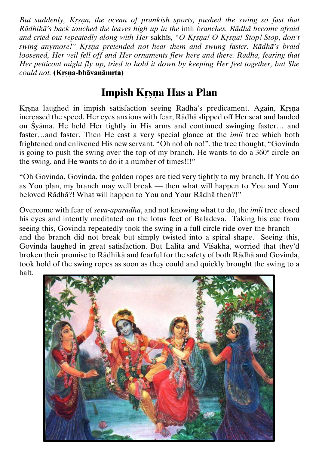*But suddenly, Krsna, the ocean of prankish sports, pushed the swing so fast that Rädhikä's back touched the leaves high up in the* imli *branches. Rädhä become afraid and cried out repeatedly along with Her sakhis, "O Krsna! O Krsna! Stop! Stop, don't swing anymore!*" *Krsna pretended not hear them and swung faster. Rādhā's braid loosened, Her veil fell off and Her ornaments flew here and there. Rädhä, fearing that Her petticoat might fly up, tried to hold it down by keeping Her feet together, but She could not.* **(Krsna-bhävanämrta)** 

## **Impish Krsna Has a Plan**

Krsna laughed in impish satisfaction seeing Rādhā's predicament. Again, Krsna increased the speed. Her eyes anxious with fear, Rädhä slipped off Her seat and landed on Çyäma. He held Her tightly in His arms and continued swinging faster… and faster…and faster. Then He cast a very special glance at the *imli* tree which both frightened and enlivened His new servant. "Oh no! oh no!", the tree thought, "Govinda is going to push the swing over the top of my branch. He wants to do a 360º circle on the swing, and He wants to do it a number of times!!!"

"Oh Govinda, Govinda, the golden ropes are tied very tightly to my branch. If You do as You plan, my branch may well break — then what will happen to You and Your beloved Rädhä?! What will happen to You and Your Rädhä then?!"

Overcome with fear of *seva-aparädha*, and not knowing what to do, the *imli* tree closed his eyes and intently meditated on the lotus feet of Baladeva. Taking his cue from seeing this, Govinda repeatedly took the swing in a full circle ride over the branch and the branch did not break but simply twisted into a spiral shape. Seeing this, Govinda laughed in great satisfaction. But Lalitä and Viçäkhä, worried that they'd broken their promise to Rädhikä and fearful for the safety of both Rädhä and Govinda, took hold of the swing ropes as soon as they could and quickly brought the swing to a halt.

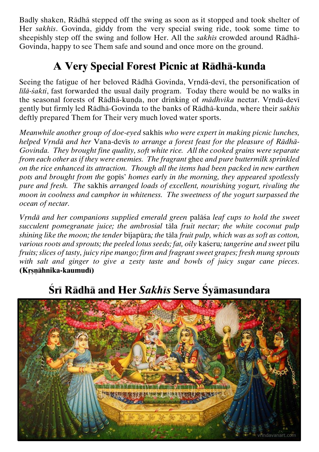Badly shaken, Rädhä stepped off the swing as soon as it stopped and took shelter of Her *sakhés*. Govinda, giddy from the very special swing ride, took some time to sheepishly step off the swing and follow Her. All the *sakhés* crowded around Rädhä-Govinda, happy to see Them safe and sound and once more on the ground.

## **A Very Special Forest Picnic at Rädhä-kunda**

Seeing the fatigue of her beloved Rādhā Govinda, Vrndā-devī, the personification of *lilā-śakti*, fast forwarded the usual daily program. Today there would be no walks in the seasonal forests of Rādhā-kunda, nor drinking of *mādhvīka* nectar. Vrndā-devī gently but firmly led Rädhä-Govinda to the banks of Rädhä-kunda, where their *sakhés* deftly prepared Them for Their very much loved water sports.

*Meanwhile another group of doe-eyed sakhis who were expert in making picnic lunches,* helped Vrndā and her Vana-devis to arrange a forest feast for the pleasure of Rādhā-*Govinda. They brought fine quality, soft white rice. All the cooked grains were separate from each other as if they were enemies. The fragrant* ghee *and pure buttermilk sprinkled on the rice enhanced its attraction. Though all the items had been packed in new earthen*  pots and brought from the gopis' homes early in the morning, they appeared spotlessly *pure and fresh. The sakhis arranged loads of excellent, nourishing yogurt, rivaling the moon in coolness and camphor in whiteness. The sweetness of the yogurt surpassed the ocean of nectar.*

*Vrndā and her companions supplied emerald green palāša leaf cups to hold the sweet succulent pomegranate juice; the ambrosial* täla *fruit nectar; the white coconut pulp shining like the moon; the tender bijapūra; the tāla fruit pulp, which was as soft as cotton, various roots and sprouts; the peeled lotus seeds; fat, oily kaseru; tangerine and sweet pilu fruits; slices of tasty, juicy ripe mango; firm and fragrant sweet grapes; fresh mung sprouts with salt and ginger to give a zesty taste and bowls of juicy sugar cane pieces.* **(Kåñëähnika-kaumudé)**



# **Çré Rädhä and Her** *Sakhés* **Serve Çyämasundara**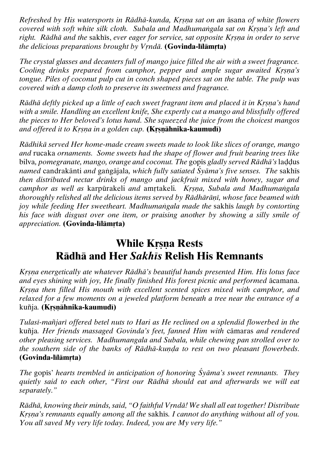*Refreshed by His watersports in Rādhā-kunda, Krsna sat on an āsana of white flowers covered with soft white silk cloth. Subala and Madhumangala sat on Krsna's left and right. Rādhā and the sakhis, ever eager for service, sat opposite Krsna in order to serve the delicious preparations brought by Vrndā.* **(Govinda-lilāmrta)** 

*The crystal glasses and decanters full of mango juice filled the air with a sweet fragrance. Cooling drinks prepared from camphor, pepper and ample sugar awaited Krsna's tongue. Piles of coconut pulp cut in conch shaped pieces sat on the table. The pulp was covered with a damp cloth to preserve its sweetness and fragrance.*

*R*ādhā deftly picked up a little of each sweet fragrant item and placed it in Krsna's hand *with a smile. Handling an excellent knife, She expertly cut a mango and blissfully offered the pieces to Her beloved's lotus hand. She squeezed the juice from the choicest mangos and offered it to Kåñëa in a golden cup.* **(Kåñëähnika-kaumudé)**

*Rädhikä served Her home-made cream sweets made to look like slices of orange, mango and* rucaka *ornaments. Some sweets had the shape of flower and fruit bearing trees like*  bilva, pomegranate, mango, orange and coconut. The gopis gladly served Rādhā's laddus *named* candrakänti *and* gaìgäjala*, which fully satiated Çyäma's five senses. The* sakhés *then distributed nectar drinks of mango and jackfruit mixed with honey, sugar and camphor as well as karpürakeli and amrtakeli. Krsna, Subala and Madhumangala thoroughly relished all the delicious items served by Rādhārānī, whose face beamed with joy while feeding Her sweetheart. Madhumangala made the sakhis laugh by contorting his face with disgust over one item, or praising another by showing a silly smile of appreciation.* (Govinda-lilamrta)

#### **While Krsna Rests Rädhä and Her** *Sakhés* **Relish His Remnants**

*Kåñëa energetically ate whatever Rädhä's beautiful hands presented Him. His lotus face and eyes shining with joy, He finally finished His forest picnic and performed acamana. Krsna then filled His mouth with excellent scented spices mixed with camphor, and relaxed for a few moments on a jeweled platform beneath a tree near the entrance of a*  kuïja*.* **(Kåñëähnika-kaumudé)**

*Tulasi-mañjari offered betel nuts to Hari as He reclined on a splendid flowerbed in the* kuïja*. Her friends massaged Govinda's feet, fanned Him with* cämaras *and rendered other pleasing services. Madhumangala and Subala, while chewing pan strolled over to the southern side of the banks of Rādhā-kunda to rest on two pleasant flowerbeds.* **(Govinda-lilämrta)** 

*The gopis' hearts trembled in anticipation of honoring Syama's sweet remnants. They quietly said to each other, "First our Rädhä should eat and afterwards we will eat separately."*

*Rādhā*, knowing their minds, said, "O faithful Vrndā! We shall all eat together! Distribute *Krsna's remnants equally among all the sakhis. I cannot do anything without all of you. You all saved My very life today. Indeed, you are My very life."*